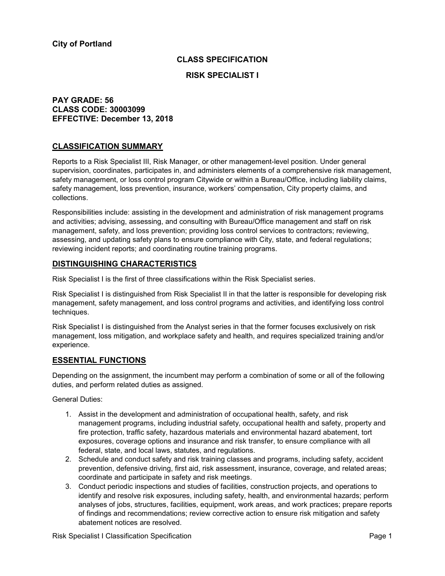## **CLASS SPECIFICATION**

# **RISK SPECIALIST I**

## **PAY GRADE: 56 CLASS CODE: 30003099 EFFECTIVE: December 13, 2018**

# **CLASSIFICATION SUMMARY**

Reports to a Risk Specialist III, Risk Manager, or other management-level position. Under general supervision, coordinates, participates in, and administers elements of a comprehensive risk management, safety management, or loss control program Citywide or within a Bureau/Office, including liability claims, safety management, loss prevention, insurance, workers' compensation, City property claims, and collections.

Responsibilities include: assisting in the development and administration of risk management programs and activities; advising, assessing, and consulting with Bureau/Office management and staff on risk management, safety, and loss prevention; providing loss control services to contractors; reviewing, assessing, and updating safety plans to ensure compliance with City, state, and federal regulations; reviewing incident reports; and coordinating routine training programs.

# **DISTINGUISHING CHARACTERISTICS**

Risk Specialist I is the first of three classifications within the Risk Specialist series.

Risk Specialist I is distinguished from Risk Specialist II in that the latter is responsible for developing risk management, safety management, and loss control programs and activities, and identifying loss control techniques.

Risk Specialist I is distinguished from the Analyst series in that the former focuses exclusively on risk management, loss mitigation, and workplace safety and health, and requires specialized training and/or experience.

## **ESSENTIAL FUNCTIONS**

Depending on the assignment, the incumbent may perform a combination of some or all of the following duties, and perform related duties as assigned.

General Duties:

- 1. Assist in the development and administration of occupational health, safety, and risk management programs, including industrial safety, occupational health and safety, property and fire protection, traffic safety, hazardous materials and environmental hazard abatement, tort exposures, coverage options and insurance and risk transfer, to ensure compliance with all federal, state, and local laws, statutes, and regulations.
- 2. Schedule and conduct safety and risk training classes and programs, including safety, accident prevention, defensive driving, first aid, risk assessment, insurance, coverage, and related areas; coordinate and participate in safety and risk meetings.
- 3. Conduct periodic inspections and studies of facilities, construction projects, and operations to identify and resolve risk exposures, including safety, health, and environmental hazards; perform analyses of jobs, structures, facilities, equipment, work areas, and work practices; prepare reports of findings and recommendations; review corrective action to ensure risk mitigation and safety abatement notices are resolved.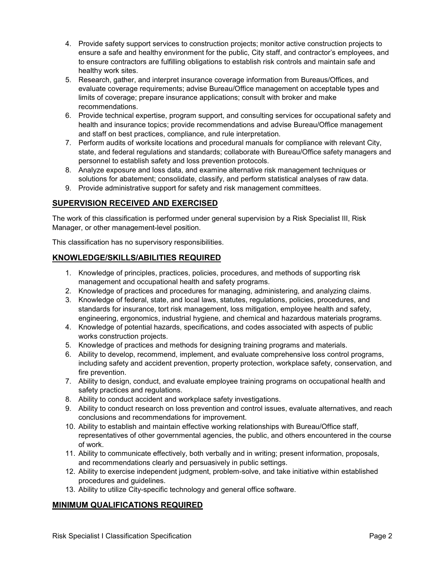- 4. Provide safety support services to construction projects; monitor active construction projects to ensure a safe and healthy environment for the public, City staff, and contractor's employees, and to ensure contractors are fulfilling obligations to establish risk controls and maintain safe and healthy work sites.
- 5. Research, gather, and interpret insurance coverage information from Bureaus/Offices, and evaluate coverage requirements; advise Bureau/Office management on acceptable types and limits of coverage; prepare insurance applications; consult with broker and make recommendations.
- 6. Provide technical expertise, program support, and consulting services for occupational safety and health and insurance topics; provide recommendations and advise Bureau/Office management and staff on best practices, compliance, and rule interpretation.
- 7. Perform audits of worksite locations and procedural manuals for compliance with relevant City, state, and federal regulations and standards; collaborate with Bureau/Office safety managers and personnel to establish safety and loss prevention protocols.
- 8. Analyze exposure and loss data, and examine alternative risk management techniques or solutions for abatement; consolidate, classify, and perform statistical analyses of raw data.
- 9. Provide administrative support for safety and risk management committees.

# **SUPERVISION RECEIVED AND EXERCISED**

The work of this classification is performed under general supervision by a Risk Specialist III, Risk Manager, or other management-level position.

This classification has no supervisory responsibilities.

# **KNOWLEDGE/SKILLS/ABILITIES REQUIRED**

- 1. Knowledge of principles, practices, policies, procedures, and methods of supporting risk management and occupational health and safety programs.
- 2. Knowledge of practices and procedures for managing, administering, and analyzing claims.
- 3. Knowledge of federal, state, and local laws, statutes, regulations, policies, procedures, and standards for insurance, tort risk management, loss mitigation, employee health and safety, engineering, ergonomics, industrial hygiene, and chemical and hazardous materials programs.
- 4. Knowledge of potential hazards, specifications, and codes associated with aspects of public works construction projects.
- 5. Knowledge of practices and methods for designing training programs and materials.
- 6. Ability to develop, recommend, implement, and evaluate comprehensive loss control programs, including safety and accident prevention, property protection, workplace safety, conservation, and fire prevention.
- 7. Ability to design, conduct, and evaluate employee training programs on occupational health and safety practices and regulations.
- 8. Ability to conduct accident and workplace safety investigations.
- 9. Ability to conduct research on loss prevention and control issues, evaluate alternatives, and reach conclusions and recommendations for improvement.
- 10. Ability to establish and maintain effective working relationships with Bureau/Office staff, representatives of other governmental agencies, the public, and others encountered in the course of work.
- 11. Ability to communicate effectively, both verbally and in writing; present information, proposals, and recommendations clearly and persuasively in public settings.
- 12. Ability to exercise independent judgment, problem-solve, and take initiative within established procedures and guidelines.
- 13. Ability to utilize City-specific technology and general office software.

## **MINIMUM QUALIFICATIONS REQUIRED**